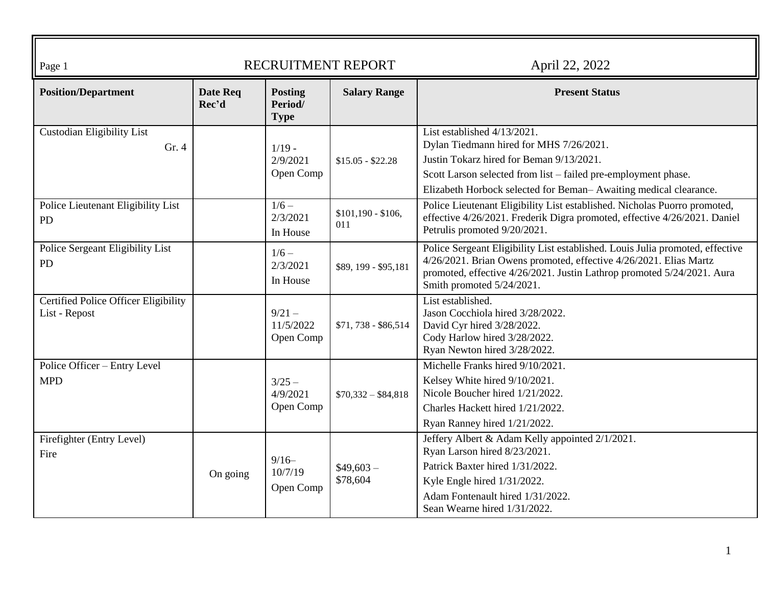| Page 1                                                |                   |                                          | RECRUITMENT REPORT        | April 22, 2022                                                                                                                                                                                                                                            |
|-------------------------------------------------------|-------------------|------------------------------------------|---------------------------|-----------------------------------------------------------------------------------------------------------------------------------------------------------------------------------------------------------------------------------------------------------|
| <b>Position/Department</b>                            | Date Req<br>Rec'd | <b>Posting</b><br>Period/<br><b>Type</b> | <b>Salary Range</b>       | <b>Present Status</b>                                                                                                                                                                                                                                     |
| <b>Custodian Eligibility List</b><br>Gr.4             |                   | $1/19 -$<br>2/9/2021<br>Open Comp        | $$15.05 - $22.28$         | List established 4/13/2021.<br>Dylan Tiedmann hired for MHS 7/26/2021.<br>Justin Tokarz hired for Beman 9/13/2021.<br>Scott Larson selected from list – failed pre-employment phase.<br>Elizabeth Horbock selected for Beman-Awaiting medical clearance.  |
| Police Lieutenant Eligibility List<br><b>PD</b>       |                   | $1/6 -$<br>2/3/2021<br>In House          | $$101,190 - $106,$<br>011 | Police Lieutenant Eligibility List established. Nicholas Puorro promoted,<br>effective 4/26/2021. Frederik Digra promoted, effective 4/26/2021. Daniel<br>Petrulis promoted 9/20/2021.                                                                    |
| Police Sergeant Eligibility List<br>PD                |                   | $1/6 -$<br>2/3/2021<br>In House          | \$89, 199 - \$95, 181     | Police Sergeant Eligibility List established. Louis Julia promoted, effective<br>4/26/2021. Brian Owens promoted, effective 4/26/2021. Elias Martz<br>promoted, effective 4/26/2021. Justin Lathrop promoted 5/24/2021. Aura<br>Smith promoted 5/24/2021. |
| Certified Police Officer Eligibility<br>List - Repost |                   | $9/21 -$<br>11/5/2022<br>Open Comp       | \$71,738 - \$86,514       | List established.<br>Jason Cocchiola hired 3/28/2022.<br>David Cyr hired 3/28/2022.<br>Cody Harlow hired 3/28/2022.<br>Ryan Newton hired 3/28/2022.                                                                                                       |
| Police Officer - Entry Level<br><b>MPD</b>            |                   | $3/25 -$<br>4/9/2021<br>Open Comp        | $$70,332 - $84,818$       | Michelle Franks hired 9/10/2021.<br>Kelsey White hired 9/10/2021.<br>Nicole Boucher hired 1/21/2022.<br>Charles Hackett hired 1/21/2022.<br>Ryan Ranney hired 1/21/2022.                                                                                  |
| Firefighter (Entry Level)<br>Fire                     | On going          | $9/16-$<br>10/7/19<br>Open Comp          | $$49,603-$<br>\$78,604    | Jeffery Albert & Adam Kelly appointed 2/1/2021.<br>Ryan Larson hired 8/23/2021.<br>Patrick Baxter hired 1/31/2022.<br>Kyle Engle hired 1/31/2022.<br>Adam Fontenault hired 1/31/2022.<br>Sean Wearne hired 1/31/2022.                                     |

匠

╗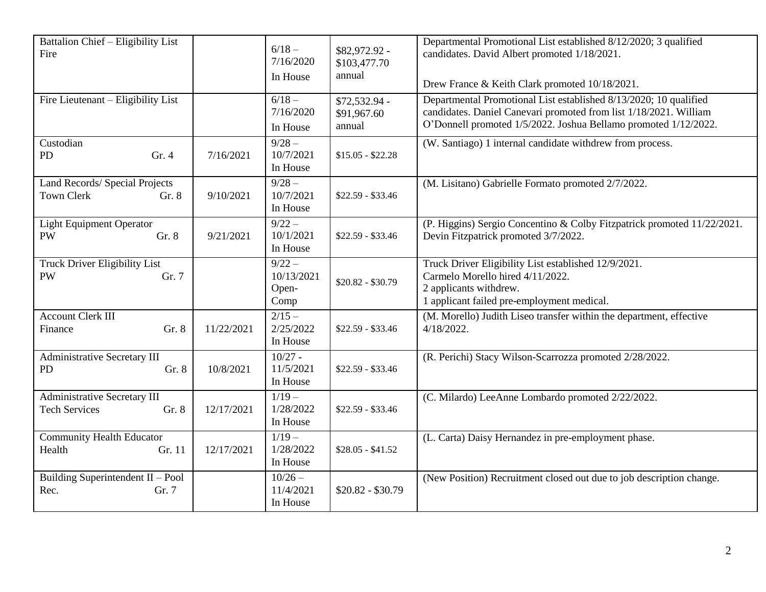| Battalion Chief - Eligibility List<br>Fire                           |            | $6/18 -$<br>7/16/2020<br>In House         | \$82,972.92 -<br>\$103,477.70<br>annual | Departmental Promotional List established 8/12/2020; 3 qualified<br>candidates. David Albert promoted 1/18/2021.<br>Drew France & Keith Clark promoted 10/18/2021.                                        |
|----------------------------------------------------------------------|------------|-------------------------------------------|-----------------------------------------|-----------------------------------------------------------------------------------------------------------------------------------------------------------------------------------------------------------|
| Fire Lieutenant – Eligibility List                                   |            | $6/18 -$<br>7/16/2020<br>In House         | \$72,532.94 -<br>\$91,967.60<br>annual  | Departmental Promotional List established 8/13/2020; 10 qualified<br>candidates. Daniel Canevari promoted from list 1/18/2021. William<br>O'Donnell promoted 1/5/2022. Joshua Bellamo promoted 1/12/2022. |
| Custodian<br>PD<br>Gr. 4                                             | 7/16/2021  | $9/28 -$<br>10/7/2021<br>In House         | $$15.05 - $22.28$                       | (W. Santiago) 1 internal candidate withdrew from process.                                                                                                                                                 |
| Land Records/ Special Projects<br><b>Town Clerk</b><br>Gr. 8         | 9/10/2021  | $9/28 -$<br>10/7/2021<br>In House         | $$22.59 - $33.46$                       | (M. Lisitano) Gabrielle Formato promoted 2/7/2022.                                                                                                                                                        |
| <b>Light Equipment Operator</b><br><b>PW</b><br>Gr. 8                | 9/21/2021  | $9/22 -$<br>10/1/2021<br>In House         | $$22.59 - $33.46$                       | (P. Higgins) Sergio Concentino & Colby Fitzpatrick promoted 11/22/2021.<br>Devin Fitzpatrick promoted 3/7/2022.                                                                                           |
| Truck Driver Eligibility List<br>Gr. 7<br><b>PW</b>                  |            | $9/22 -$<br>10/13/2021<br>Open-<br>Comp   | $$20.82 - $30.79$                       | Truck Driver Eligibility List established 12/9/2021.<br>Carmelo Morello hired 4/11/2022.<br>2 applicants withdrew.<br>1 applicant failed pre-employment medical.                                          |
| <b>Account Clerk III</b><br>Gr. 8<br>Finance                         | 11/22/2021 | $\frac{2}{15}$ –<br>2/25/2022<br>In House | $$22.59 - $33.46$                       | (M. Morello) Judith Liseo transfer within the department, effective<br>4/18/2022.                                                                                                                         |
| Administrative Secretary III<br>PD<br>Gr. 8                          | 10/8/2021  | $10/27 -$<br>11/5/2021<br>In House        | $$22.59 - $33.46$                       | (R. Perichi) Stacy Wilson-Scarrozza promoted 2/28/2022.                                                                                                                                                   |
| <b>Administrative Secretary III</b><br><b>Tech Services</b><br>Gr. 8 | 12/17/2021 | $\frac{1}{19}$<br>1/28/2022<br>In House   | $$22.59 - $33.46$                       | (C. Milardo) LeeAnne Lombardo promoted 2/22/2022.                                                                                                                                                         |
| <b>Community Health Educator</b><br>Health<br>Gr. 11                 | 12/17/2021 | $1/19-$<br>1/28/2022<br>In House          | $$28.05 - $41.52$                       | (L. Carta) Daisy Hernandez in pre-employment phase.                                                                                                                                                       |
| Building Superintendent $II - Pool$<br>Rec.<br>Gr. 7                 |            | $10/26 -$<br>11/4/2021<br>In House        | $$20.82 - $30.79$                       | (New Position) Recruitment closed out due to job description change.                                                                                                                                      |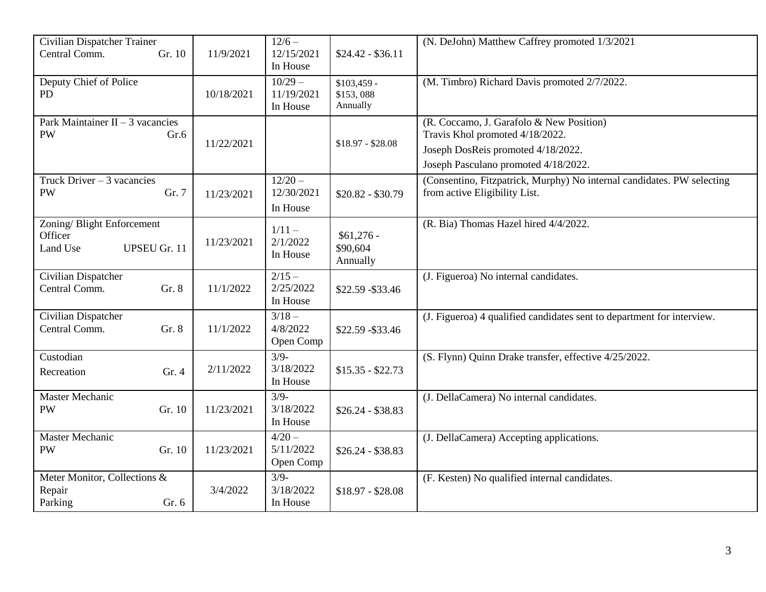| Central Comm.<br>12/15/2021<br>Gr. 10<br>11/9/2021<br>$$24.42 - $36.11$<br>In House                                                             |  |
|-------------------------------------------------------------------------------------------------------------------------------------------------|--|
|                                                                                                                                                 |  |
| $10/29 -$                                                                                                                                       |  |
| Deputy Chief of Police<br>(M. Timbro) Richard Davis promoted 2/7/2022.<br>$$103,459$ -<br>11/19/2021<br>\$153,088<br><b>PD</b><br>10/18/2021    |  |
| Annually<br>In House                                                                                                                            |  |
| Park Maintainer $\overline{II} - 3$ vacancies<br>(R. Coccamo, J. Garafolo & New Position)                                                       |  |
| Travis Khol promoted 4/18/2022.<br><b>PW</b><br>Gr.6                                                                                            |  |
| $$18.97 - $28.08$<br>11/22/2021<br>Joseph DosReis promoted 4/18/2022.                                                                           |  |
| Joseph Pasculano promoted 4/18/2022.                                                                                                            |  |
| $12/20 -$<br>Truck Driver $-3$ vacancies<br>(Consentino, Fitzpatrick, Murphy) No internal candidates. PW selecting                              |  |
| <b>PW</b><br>Gr. 7<br>12/30/2021<br>from active Eligibility List.<br>11/23/2021<br>$$20.82 - $30.79$                                            |  |
| In House                                                                                                                                        |  |
| Zoning/Blight Enforcement<br>(R. Bia) Thomas Hazel hired 4/4/2022.<br>$1/11 -$                                                                  |  |
| $$61,276$ -<br>Officer<br>2/1/2022<br>11/23/2021<br>\$90,604<br><b>UPSEU Gr. 11</b><br>Land Use                                                 |  |
| In House<br>Annually                                                                                                                            |  |
| $2/15 -$<br>Civilian Dispatcher<br>(J. Figueroa) No internal candidates.                                                                        |  |
| 2/25/2022<br>Central Comm.<br>Gr. 8<br>11/1/2022<br>\$22.59 - \$33.46                                                                           |  |
| In House                                                                                                                                        |  |
| Civilian Dispatcher<br>$3/18 -$<br>(J. Figueroa) 4 qualified candidates sent to department for interview.                                       |  |
| Central Comm.<br>Gr. 8<br>4/8/2022<br>11/1/2022<br>\$22.59 - \$33.46                                                                            |  |
| Open Comp<br>Custodian<br>$3/9-$                                                                                                                |  |
| (S. Flynn) Quinn Drake transfer, effective 4/25/2022.<br>3/18/2022<br>2/11/2022<br>$$15.35 - $22.73$                                            |  |
| Gr.4<br>Recreation<br>In House                                                                                                                  |  |
| $3/9-$<br>(J. DellaCamera) No internal candidates.<br>Master Mechanic                                                                           |  |
| 3/18/2022<br><b>PW</b><br>Gr. 10<br>11/23/2021<br>$$26.24 - $38.83$                                                                             |  |
| In House                                                                                                                                        |  |
| $4/20 -$<br>Master Mechanic<br>(J. DellaCamera) Accepting applications.                                                                         |  |
| 5/11/2022<br><b>PW</b><br>Gr. 10<br>11/23/2021<br>$$26.24 - $38.83$                                                                             |  |
| Open Comp                                                                                                                                       |  |
| $3/9-$<br>(F. Kesten) No qualified internal candidates.<br>Meter Monitor, Collections &<br>3/18/2022<br>Repair<br>3/4/2022<br>$$18.97 - $28.08$ |  |
| Parking<br>Gr. 6<br>In House                                                                                                                    |  |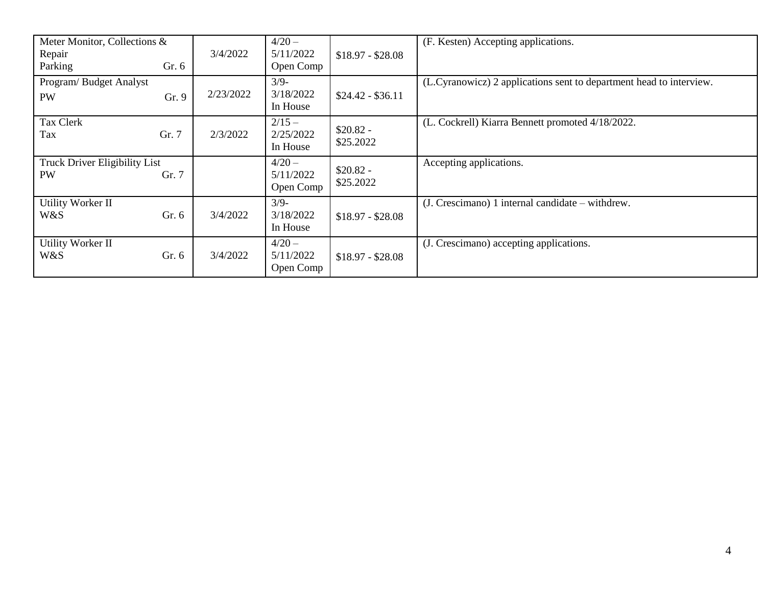| Meter Monitor, Collections &<br>Repair<br>Parking | Gr. 6 | 3/4/2022  | $4/20 -$<br>5/11/2022<br>Open Comp | $$18.97 - $28.08$       | (F. Kesten) Accepting applications.                                 |
|---------------------------------------------------|-------|-----------|------------------------------------|-------------------------|---------------------------------------------------------------------|
| Program/Budget Analyst<br><b>PW</b>               | Gr. 9 | 2/23/2022 | $3/9-$<br>3/18/2022<br>In House    | $$24.42 - $36.11$       | (L.Cyranowicz) 2 applications sent to department head to interview. |
| Tax Clerk<br>Tax                                  | Gr. 7 | 2/3/2022  | $2/15 -$<br>2/25/2022<br>In House  | $$20.82 -$<br>\$25.2022 | (L. Cockrell) Kiarra Bennett promoted 4/18/2022.                    |
| Truck Driver Eligibility List<br><b>PW</b>        | Gr. 7 |           | $4/20 -$<br>5/11/2022<br>Open Comp | $$20.82 -$<br>\$25.2022 | Accepting applications.                                             |
| Utility Worker II<br>W&S                          | Gr. 6 | 3/4/2022  | $3/9-$<br>3/18/2022<br>In House    | $$18.97 - $28.08$       | $(J. C$ rescimano) 1 internal candidate – withdrew.                 |
| <b>Utility Worker II</b><br>W&S                   | Gr. 6 | 3/4/2022  | $4/20 -$<br>5/11/2022<br>Open Comp | $$18.97 - $28.08$       | (J. Crescimano) accepting applications.                             |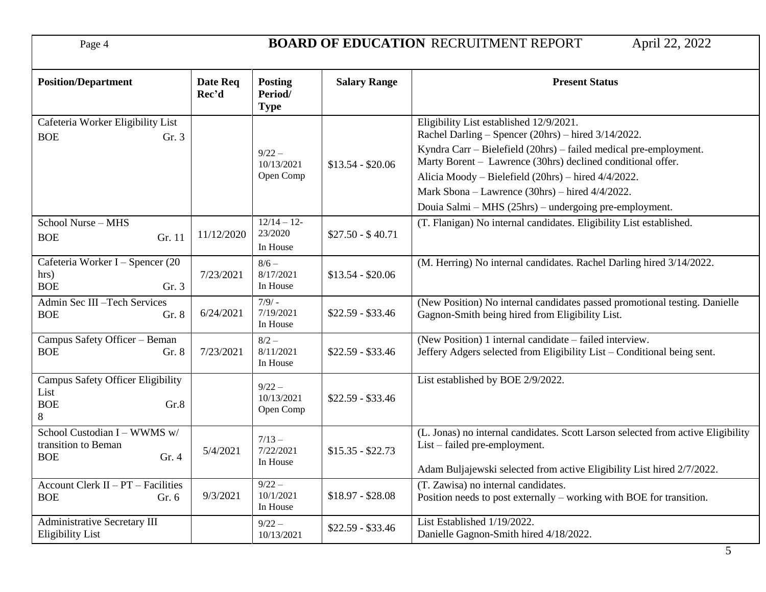Page 4 **BOARD OF EDUCATION** RECRUITMENT REPORT April 22, 2022

| <b>Position/Department</b>                                                  | Date Req<br>Rec'd | <b>Posting</b><br>Period/<br><b>Type</b> | <b>Salary Range</b> | <b>Present Status</b>                                                                                                                                                                                                                                                                                                                                                                                  |
|-----------------------------------------------------------------------------|-------------------|------------------------------------------|---------------------|--------------------------------------------------------------------------------------------------------------------------------------------------------------------------------------------------------------------------------------------------------------------------------------------------------------------------------------------------------------------------------------------------------|
| Cafeteria Worker Eligibility List<br><b>BOE</b><br>Gr. 3                    |                   | $9/22 -$<br>10/13/2021<br>Open Comp      | $$13.54 - $20.06$   | Eligibility List established 12/9/2021.<br>Rachel Darling – Spencer (20hrs) – hired 3/14/2022.<br>Kyndra Carr – Bielefield (20hrs) – failed medical pre-employment.<br>Marty Borent - Lawrence (30hrs) declined conditional offer.<br>Alicia Moody - Bielefield (20hrs) - hired 4/4/2022.<br>Mark Sbona - Lawrence (30hrs) - hired 4/4/2022.<br>Douia Salmi – MHS (25hrs) – undergoing pre-employment. |
| School Nurse - MHS<br>Gr. 11<br><b>BOE</b>                                  | 11/12/2020        | $12/14 - 12$<br>23/2020<br>In House      | $$27.50 - $40.71$   | (T. Flanigan) No internal candidates. Eligibility List established.                                                                                                                                                                                                                                                                                                                                    |
| Cafeteria Worker I - Spencer (20<br>hrs)<br><b>BOE</b><br>Gr. 3             | 7/23/2021         | $8/6 -$<br>8/17/2021<br>In House         | $$13.54 - $20.06$   | (M. Herring) No internal candidates. Rachel Darling hired 3/14/2022.                                                                                                                                                                                                                                                                                                                                   |
| Admin Sec III-Tech Services<br><b>BOE</b><br>Gr. 8                          | 6/24/2021         | $7/9/ -$<br>7/19/2021<br>In House        | $$22.59 - $33.46$   | (New Position) No internal candidates passed promotional testing. Danielle<br>Gagnon-Smith being hired from Eligibility List.                                                                                                                                                                                                                                                                          |
| Campus Safety Officer - Beman<br><b>BOE</b><br>Gr. 8                        | 7/23/2021         | $8/2 -$<br>8/11/2021<br>In House         | $$22.59 - $33.46$   | (New Position) 1 internal candidate – failed interview.<br>Jeffery Adgers selected from Eligibility List – Conditional being sent.                                                                                                                                                                                                                                                                     |
| <b>Campus Safety Officer Eligibility</b><br>List<br><b>BOE</b><br>Gr.8<br>8 |                   | $9/22 -$<br>10/13/2021<br>Open Comp      | $$22.59 - $33.46$   | List established by BOE 2/9/2022.                                                                                                                                                                                                                                                                                                                                                                      |
| School Custodian I - WWMS w/<br>transition to Beman<br><b>BOE</b><br>Gr. 4  | 5/4/2021          | $7/13 -$<br>7/22/2021<br>In House        | $$15.35 - $22.73$   | (L. Jonas) no internal candidates. Scott Larson selected from active Eligibility<br>List – failed pre-employment.<br>Adam Buljajewski selected from active Eligibility List hired 2/7/2022.                                                                                                                                                                                                            |
| Account Clerk $II - PT$ – Facilities<br><b>BOE</b><br>Gr. 6                 | 9/3/2021          | $9/22 -$<br>10/1/2021<br>In House        | $$18.97 - $28.08$   | (T. Zawisa) no internal candidates.<br>Position needs to post externally – working with BOE for transition.                                                                                                                                                                                                                                                                                            |
| Administrative Secretary III<br><b>Eligibility List</b>                     |                   | $9/22 -$<br>10/13/2021                   | $$22.59 - $33.46$   | List Established 1/19/2022.<br>Danielle Gagnon-Smith hired 4/18/2022.                                                                                                                                                                                                                                                                                                                                  |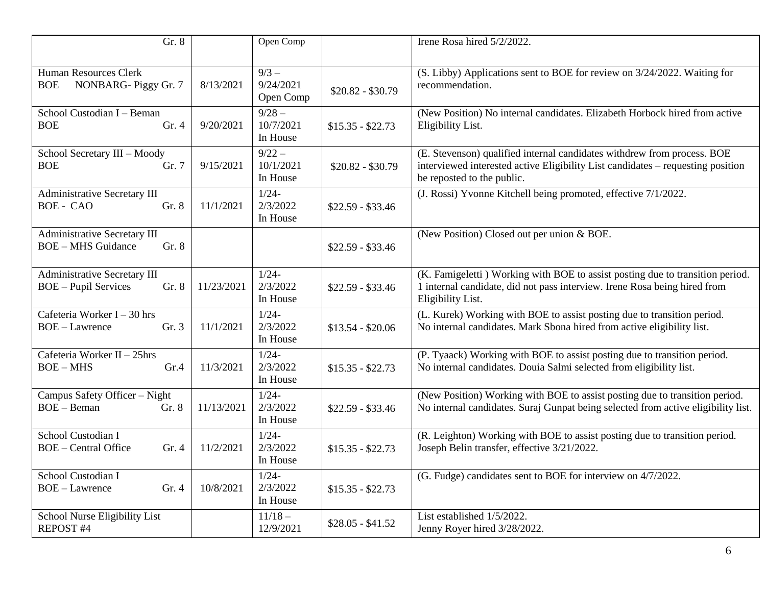| Gr. 8                                                                       |            | Open Comp                         |                   | Irene Rosa hired 5/2/2022.                                                                                                                                                               |
|-----------------------------------------------------------------------------|------------|-----------------------------------|-------------------|------------------------------------------------------------------------------------------------------------------------------------------------------------------------------------------|
| Human Resources Clerk<br>NONBARG-Piggy Gr. 7<br><b>BOE</b>                  | 8/13/2021  | $9/3 -$<br>9/24/2021<br>Open Comp | $$20.82 - $30.79$ | (S. Libby) Applications sent to BOE for review on 3/24/2022. Waiting for<br>recommendation.                                                                                              |
| School Custodian I - Beman<br><b>BOE</b><br>Gr. 4                           | 9/20/2021  | $9/28 -$<br>10/7/2021<br>In House | $$15.35 - $22.73$ | (New Position) No internal candidates. Elizabeth Horbock hired from active<br>Eligibility List.                                                                                          |
| School Secretary III - Moody<br><b>BOE</b><br>Gr. 7                         | 9/15/2021  | $9/22 -$<br>10/1/2021<br>In House | $$20.82 - $30.79$ | (E. Stevenson) qualified internal candidates withdrew from process. BOE<br>interviewed interested active Eligibility List candidates – requesting position<br>be reposted to the public. |
| <b>Administrative Secretary III</b><br>Gr. 8<br><b>BOE-CAO</b>              | 11/1/2021  | $1/24 -$<br>2/3/2022<br>In House  | $$22.59 - $33.46$ | (J. Rossi) Yvonne Kitchell being promoted, effective 7/1/2022.                                                                                                                           |
| <b>Administrative Secretary III</b><br><b>BOE-MHS Guidance</b><br>Gr. 8     |            |                                   | $$22.59 - $33.46$ | (New Position) Closed out per union & BOE.                                                                                                                                               |
| <b>Administrative Secretary III</b><br><b>BOE</b> - Pupil Services<br>Gr. 8 | 11/23/2021 | $1/24-$<br>2/3/2022<br>In House   | $$22.59 - $33.46$ | (K. Famigeletti) Working with BOE to assist posting due to transition period.<br>1 internal candidate, did not pass interview. Irene Rosa being hired from<br>Eligibility List.          |
| Cafeteria Worker $I - 30$ hrs<br>Gr. 3<br><b>BOE</b> - Lawrence             | 11/1/2021  | $1/24-$<br>2/3/2022<br>In House   | $$13.54 - $20.06$ | (L. Kurek) Working with BOE to assist posting due to transition period.<br>No internal candidates. Mark Sbona hired from active eligibility list.                                        |
| Cafeteria Worker II - 25hrs<br>Gr.4<br>$BOE - MHS$                          | 11/3/2021  | $1/24-$<br>2/3/2022<br>In House   | $$15.35 - $22.73$ | (P. Tyaack) Working with BOE to assist posting due to transition period.<br>No internal candidates. Douia Salmi selected from eligibility list.                                          |
| Campus Safety Officer - Night<br>$BOE - Beman$<br>Gr. 8                     | 11/13/2021 | $1/24-$<br>2/3/2022<br>In House   | $$22.59 - $33.46$ | (New Position) Working with BOE to assist posting due to transition period.<br>No internal candidates. Suraj Gunpat being selected from active eligibility list.                         |
| School Custodian I<br><b>BOE</b> – Central Office<br>Gr.4                   | 11/2/2021  | $1/24-$<br>2/3/2022<br>In House   | $$15.35 - $22.73$ | (R. Leighton) Working with BOE to assist posting due to transition period.<br>Joseph Belin transfer, effective 3/21/2022.                                                                |
| School Custodian I<br><b>BOE-Lawrence</b><br>Gr. 4                          | 10/8/2021  | $1/24-$<br>2/3/2022<br>In House   | $$15.35 - $22.73$ | (G. Fudge) candidates sent to BOE for interview on 4/7/2022.                                                                                                                             |
| School Nurse Eligibility List<br>REPOST #4                                  |            | $11/18 -$<br>12/9/2021            | $$28.05 - $41.52$ | List established 1/5/2022.<br>Jenny Royer hired 3/28/2022.                                                                                                                               |